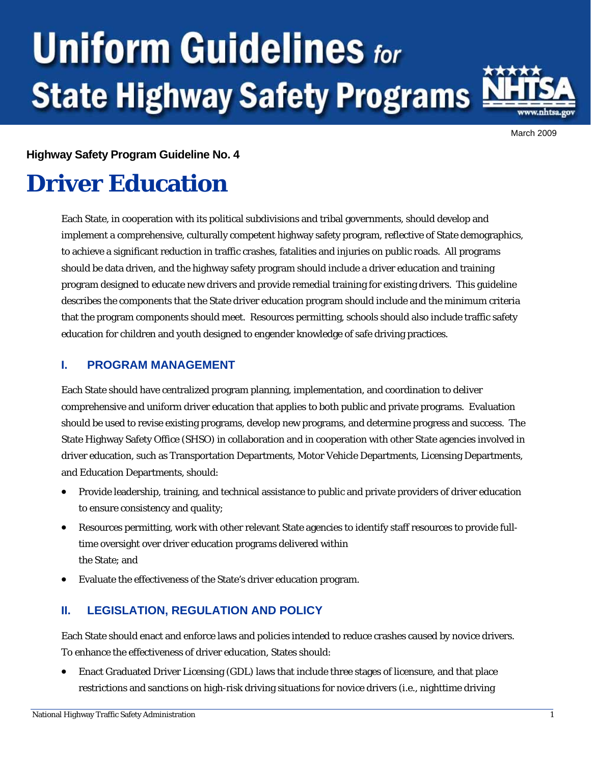# **Uniform Guidelines for State Highway Safety Programs**



March 2009

### **Highway Safety Program Guideline No. 4**

# **Driver Education**

Each State, in cooperation with its political subdivisions and tribal governments, should develop and implement a comprehensive, culturally competent highway safety program, reflective of State demographics, to achieve a significant reduction in traffic crashes, fatalities and injuries on public roads. All programs should be data driven, and the highway safety program should include a driver education and training program designed to educate new drivers and provide remedial training for existing drivers. This guideline describes the components that the State driver education program should include and the minimum criteria that the program components should meet. Resources permitting, schools should also include traffic safety education for children and youth designed to engender knowledge of safe driving practices.

# **I. PROGRAM MANAGEMENT**

Each State should have centralized program planning, implementation, and coordination to deliver comprehensive and uniform driver education that applies to both public and private programs. Evaluation should be used to revise existing programs, develop new programs, and determine progress and success. The State Highway Safety Office (SHSO) in collaboration and in cooperation with other State agencies involved in driver education, such as Transportation Departments, Motor Vehicle Departments, Licensing Departments, and Education Departments, should:

- Provide leadership, training, and technical assistance to public and private providers of driver education to ensure consistency and quality;
- Resources permitting, work with other relevant State agencies to identify staff resources to provide fulltime oversight over driver education programs delivered within the State; and
- Evaluate the effectiveness of the State's driver education program.

# **II. LEGISLATION, REGULATION AND POLICY**

Each State should enact and enforce laws and policies intended to reduce crashes caused by novice drivers. To enhance the effectiveness of driver education, States should:

• Enact Graduated Driver Licensing (GDL) laws that include three stages of licensure, and that place restrictions and sanctions on high-risk driving situations for novice drivers (i.e., nighttime driving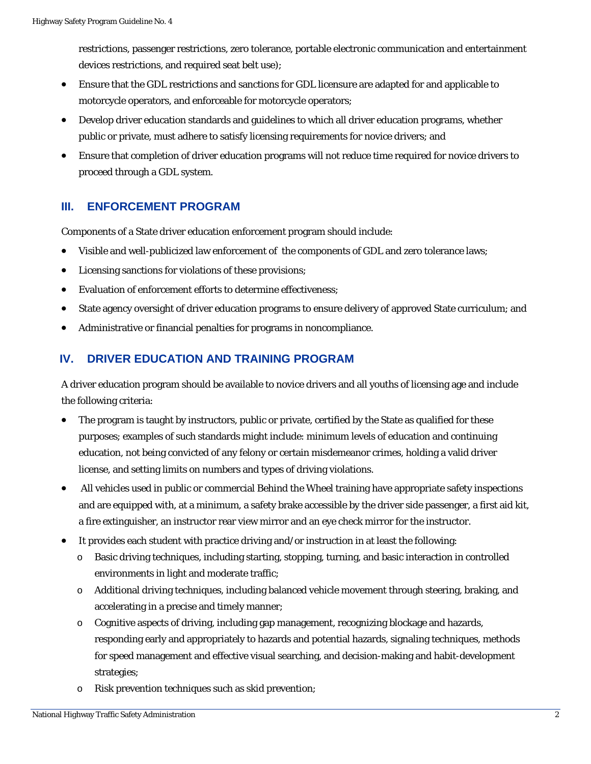restrictions, passenger restrictions, zero tolerance, portable electronic communication and entertainment devices restrictions, and required seat belt use);

- Ensure that the GDL restrictions and sanctions for GDL licensure are adapted for and applicable to motorcycle operators, and enforceable for motorcycle operators;
- Develop driver education standards and guidelines to which all driver education programs, whether public or private, must adhere to satisfy licensing requirements for novice drivers; and
- Ensure that completion of driver education programs will not reduce time required for novice drivers to proceed through a GDL system.

# **III. ENFORCEMENT PROGRAM**

Components of a State driver education enforcement program should include:

- Visible and well-publicized law enforcement of the components of GDL and zero tolerance laws;
- Licensing sanctions for violations of these provisions;
- Evaluation of enforcement efforts to determine effectiveness;
- State agency oversight of driver education programs to ensure delivery of approved State curriculum; and
- Administrative or financial penalties for programs in noncompliance.

# **IV. DRIVER EDUCATION AND TRAINING PROGRAM**

A driver education program should be available to novice drivers and all youths of licensing age and include the following criteria:

- The program is taught by instructors, public or private, certified by the State as qualified for these purposes; examples of such standards might include: minimum levels of education and continuing education, not being convicted of any felony or certain misdemeanor crimes, holding a valid driver license, and setting limits on numbers and types of driving violations.
- All vehicles used in public or commercial Behind the Wheel training have appropriate safety inspections and are equipped with, at a minimum, a safety brake accessible by the driver side passenger, a first aid kit, a fire extinguisher, an instructor rear view mirror and an eye check mirror for the instructor.
- It provides each student with practice driving and/or instruction in at least the following:
	- o Basic driving techniques, including starting, stopping, turning, and basic interaction in controlled environments in light and moderate traffic;
	- o Additional driving techniques, including balanced vehicle movement through steering, braking, and accelerating in a precise and timely manner;
	- o Cognitive aspects of driving, including gap management, recognizing blockage and hazards, responding early and appropriately to hazards and potential hazards, signaling techniques, methods for speed management and effective visual searching, and decision-making and habit-development strategies;
	- o Risk prevention techniques such as skid prevention;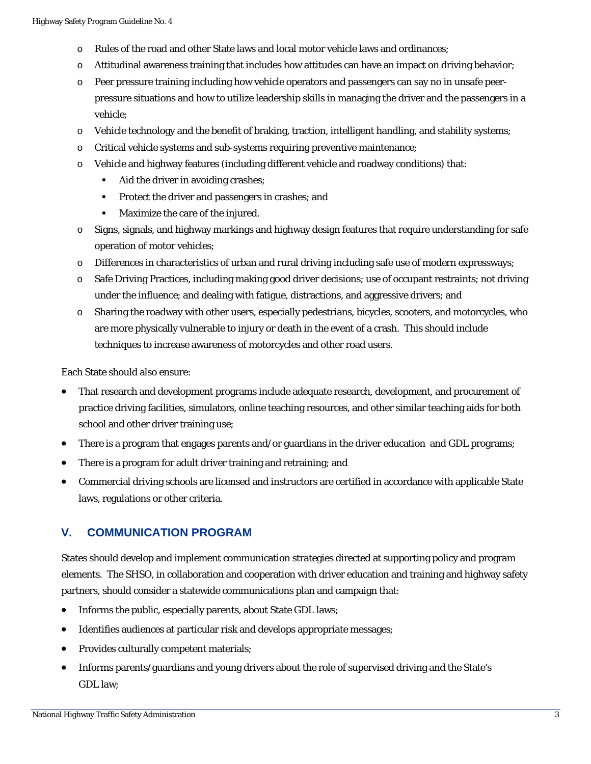- o Rules of the road and other State laws and local motor vehicle laws and ordinances;
- o Attitudinal awareness training that includes how attitudes can have an impact on driving behavior;
- o Peer pressure training including how vehicle operators and passengers can say no in unsafe peerpressure situations and how to utilize leadership skills in managing the driver and the passengers in a vehicle;
- $\circ$  Vehicle technology and the benefit of braking, traction, intelligent handling, and stability systems;
- o Critical vehicle systems and sub-systems requiring preventive maintenance;
- o Vehicle and highway features (including different vehicle and roadway conditions) that:
	- $\blacksquare$ Aid the driver in avoiding crashes;
	- $\blacksquare$ Protect the driver and passengers in crashes; and
	- $\blacksquare$ Maximize the care of the injured.
- o Signs, signals, and highway markings and highway design features that require understanding for safe operation of motor vehicles;
- o Differences in characteristics of urban and rural driving including safe use of modern expressways;
- o Safe Driving Practices, including making good driver decisions; use of occupant restraints; not driving under the influence; and dealing with fatigue, distractions, and aggressive drivers; and
- o Sharing the roadway with other users, especially pedestrians, bicycles, scooters, and motorcycles, who are more physically vulnerable to injury or death in the event of a crash. This should include techniques to increase awareness of motorcycles and other road users.

Each State should also ensure:

- That research and development programs include adequate research, development, and procurement of practice driving facilities, simulators, online teaching resources, and other similar teaching aids for both school and other driver training use;
- There is a program that engages parents and/or guardians in the driver education and GDL programs;
- There is a program for adult driver training and retraining; and
- Commercial driving schools are licensed and instructors are certified in accordance with applicable State laws, regulations or other criteria.

### **V. COMMUNICATION PROGRAM**

States should develop and implement communication strategies directed at supporting policy and program elements. The SHSO, in collaboration and cooperation with driver education and training and highway safety partners, should consider a statewide communications plan and campaign that:

- Informs the public, especially parents, about State GDL laws;
- Identifies audiences at particular risk and develops appropriate messages;
- Provides culturally competent materials;
- Informs parents/guardians and young drivers about the role of supervised driving and the State's GDL law;